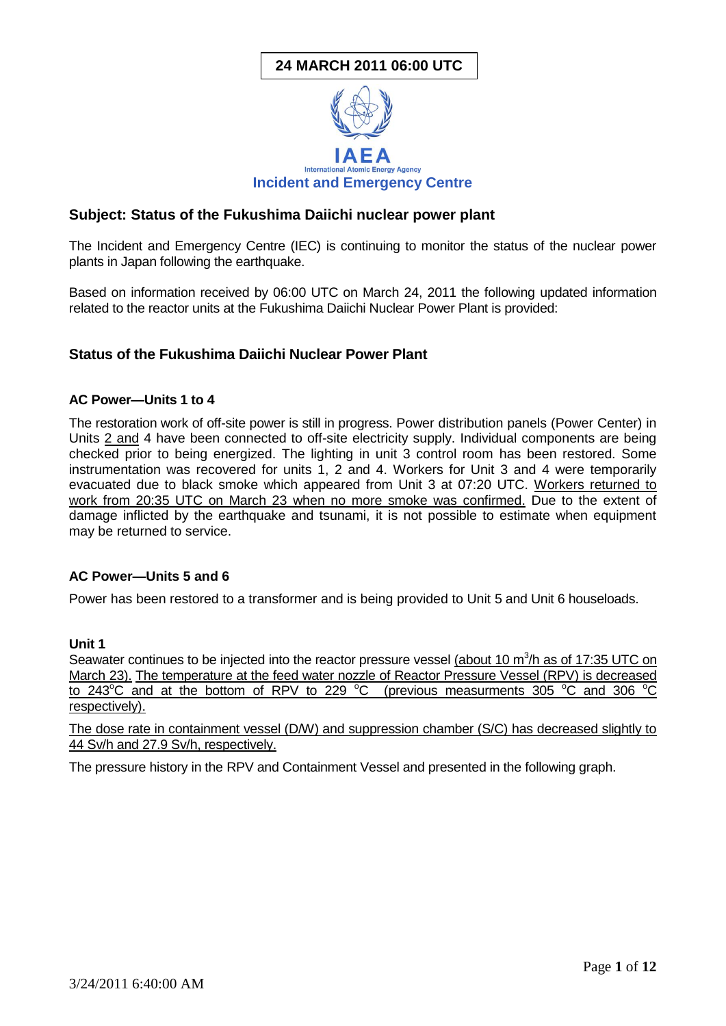# **24 MARCH 2011 06:00 UTC**



## **Subject: Status of the Fukushima Daiichi nuclear power plant**

The Incident and Emergency Centre (IEC) is continuing to monitor the status of the nuclear power plants in Japan following the earthquake.

Based on information received by 06:00 UTC on March 24, 2011 the following updated information related to the reactor units at the Fukushima Daiichi Nuclear Power Plant is provided:

## **Status of the Fukushima Daiichi Nuclear Power Plant**

#### **AC Power—Units 1 to 4**

The restoration work of off-site power is still in progress. Power distribution panels (Power Center) in Units 2 and 4 have been connected to off-site electricity supply. Individual components are being checked prior to being energized. The lighting in unit 3 control room has been restored. Some instrumentation was recovered for units 1, 2 and 4. Workers for Unit 3 and 4 were temporarily evacuated due to black smoke which appeared from Unit 3 at 07:20 UTC. Workers returned to work from 20:35 UTC on March 23 when no more smoke was confirmed. Due to the extent of damage inflicted by the earthquake and tsunami, it is not possible to estimate when equipment may be returned to service.

#### **AC Power—Units 5 and 6**

Power has been restored to a transformer and is being provided to Unit 5 and Unit 6 houseloads.

#### **Unit 1**

Seawater continues to be injected into the reactor pressure vessel (about 10 m<sup>3</sup>/h as of 17:35 UTC on March 23). The temperature at the feed water nozzle of Reactor Pressure Vessel (RPV) is decreased to 243 $^{\circ}$ C and at the bottom of RPV to 229  $^{\circ}$ C (previous measurments 305  $^{\circ}$ C and 306  $^{\circ}$ C respectively).

The dose rate in containment vessel (D/W) and suppression chamber (S/C) has decreased slightly to 44 Sv/h and 27.9 Sv/h, respectively.

The pressure history in the RPV and Containment Vessel and presented in the following graph.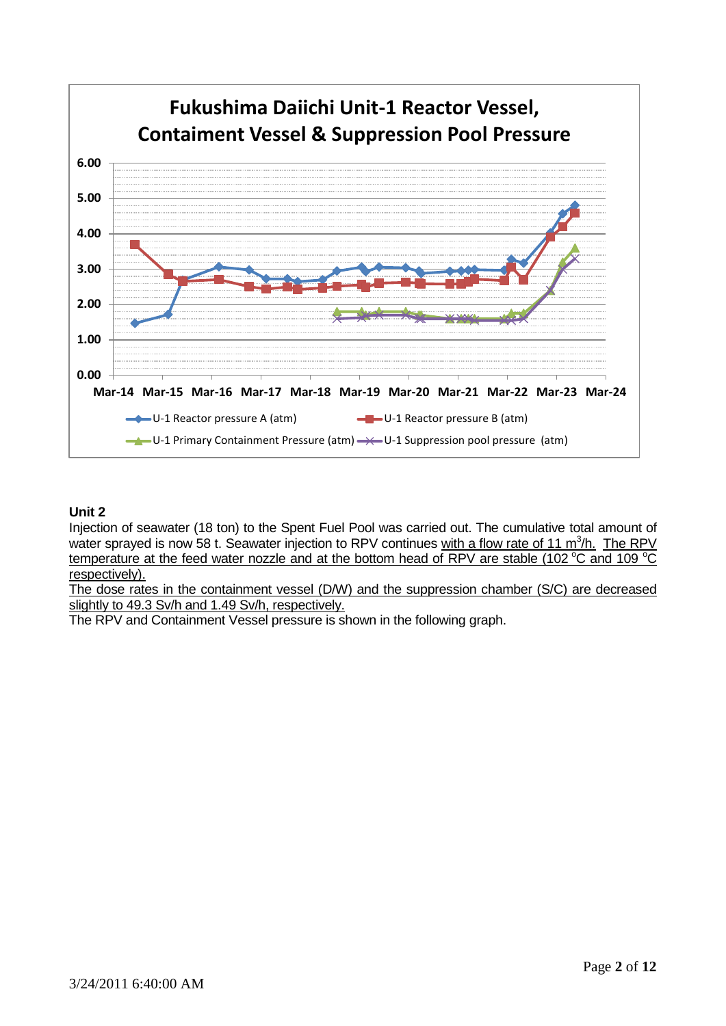

## **Unit 2**

Injection of seawater (18 ton) to the Spent Fuel Pool was carried out. The cumulative total amount of water sprayed is now 58 t. Seawater injection to RPV continues with a flow rate of 11 m<sup>3</sup>/h. The RPV temperature at the feed water nozzle and at the bottom head of RPV are stable (102  $^{\circ}$ C and 109  $^{\circ}$ C respectively).

The dose rates in the containment vessel (D/W) and the suppression chamber (S/C) are decreased slightly to 49.3 Sv/h and 1.49 Sv/h, respectively.

The RPV and Containment Vessel pressure is shown in the following graph.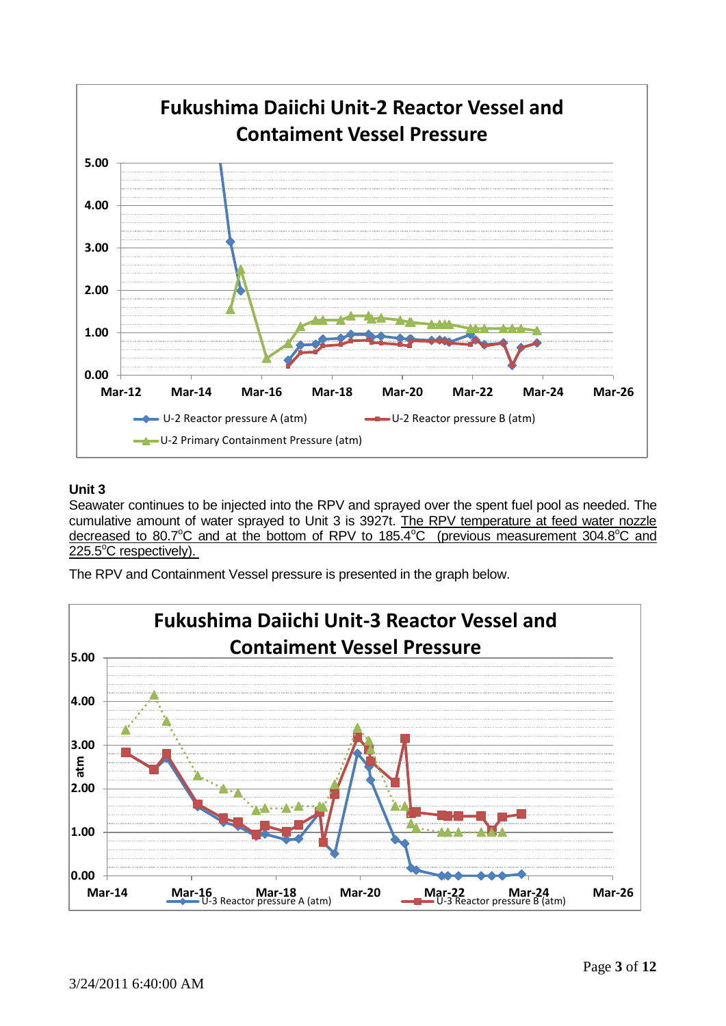

## **Unit 3**

Seawater continues to be injected into the RPV and sprayed over the spent fuel pool as needed. The cumulative amount of water sprayed to Unit 3 is 3927t. The RPV temperature at feed water nozzle decreased to 80.7 $^{\circ}$ C and at the bottom of RPV to 185.4 $^{\circ}$ C (previous measurement 304.8 $^{\circ}$ C and  $225.5^{\circ}$ C respectively).

The RPV and Containment Vessel pressure is presented in the graph below.

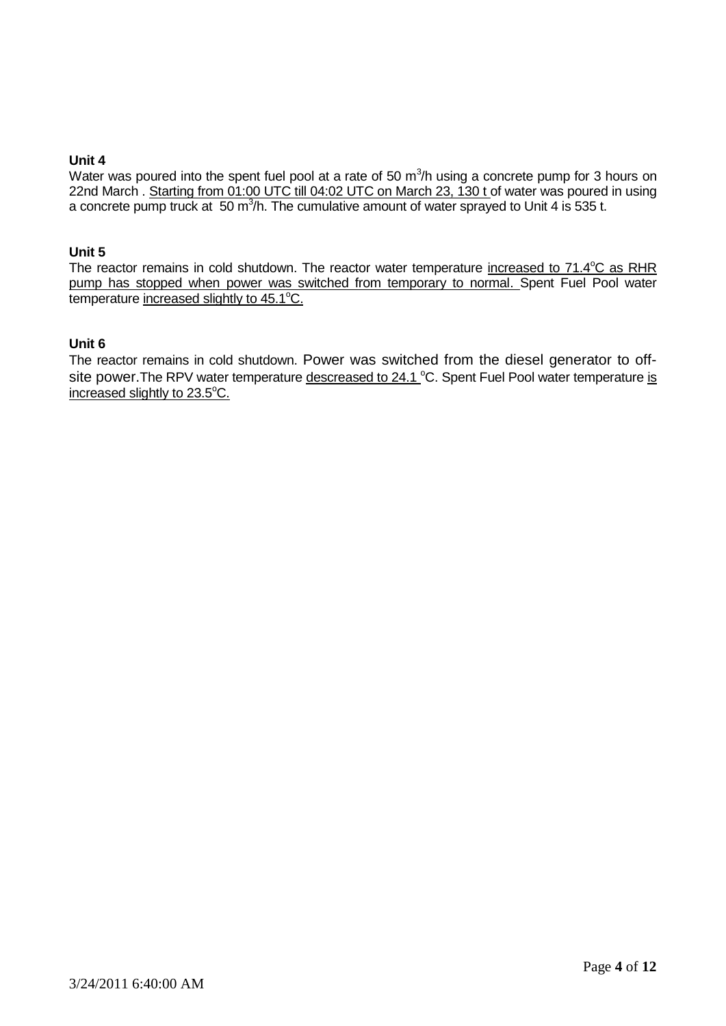#### **Unit 4**

Water was poured into the spent fuel pool at a rate of 50  $m^3/h$  using a concrete pump for 3 hours on 22nd March . Starting from 01:00 UTC till 04:02 UTC on March 23, 130 t of water was poured in using a concrete pump truck at 50 m<sup>3</sup>/h. The cumulative amount of water sprayed to Unit 4 is 535 t.

#### **Unit 5**

The reactor remains in cold shutdown. The reactor water temperature increased to 71.4°C as RHR pump has stopped when power was switched from temporary to normal. Spent Fuel Pool water temperature increased slightly to  $45.1^{\circ}$ C.

### **Unit 6**

The reactor remains in cold shutdown. Power was switched from the diesel generator to offsite power. The RPV water temperature descreased to 24.1 °C. Spent Fuel Pool water temperature is increased slightly to 23.5°C.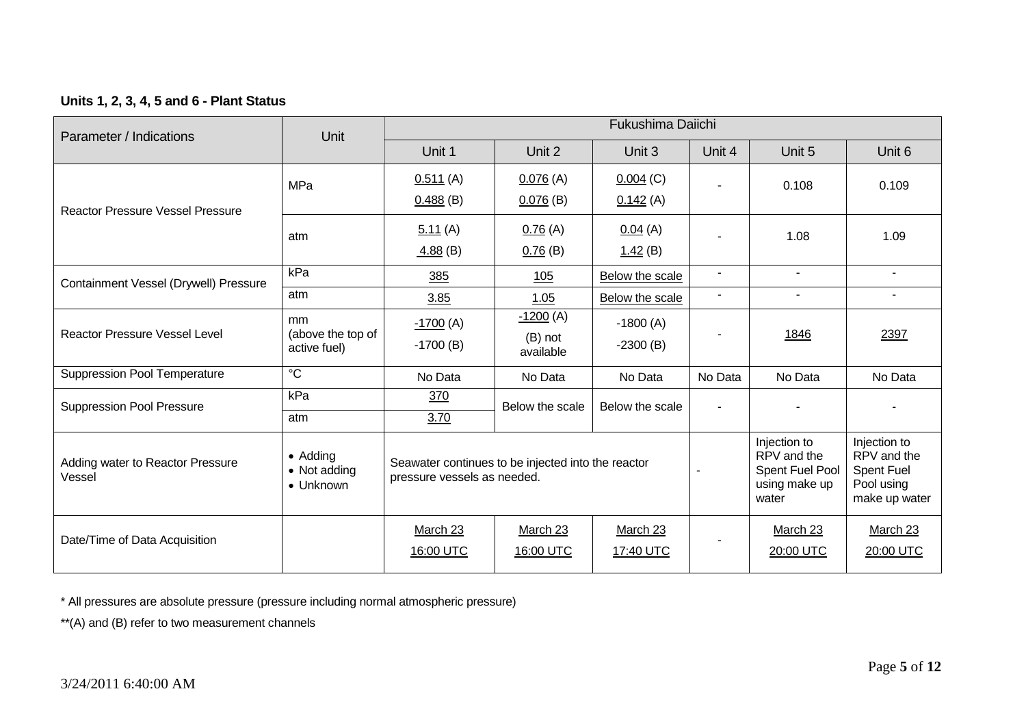## **Units 1, 2, 3, 4, 5 and 6 - Plant Status**

| Parameter / Indications                    | Unit                                          |                                                                                   |                       | <b>Fukushima Daiichi</b> |                                                                          |                                                                                 |                          |
|--------------------------------------------|-----------------------------------------------|-----------------------------------------------------------------------------------|-----------------------|--------------------------|--------------------------------------------------------------------------|---------------------------------------------------------------------------------|--------------------------|
|                                            |                                               | Unit 1                                                                            | Unit 2                | Unit 3                   | Unit 4                                                                   | Unit 5                                                                          | Unit 6                   |
|                                            | <b>MPa</b>                                    | 0.511(A)                                                                          | 0.076(A)              | $0.004$ (C)              |                                                                          | 0.108                                                                           | 0.109                    |
| <b>Reactor Pressure Vessel Pressure</b>    |                                               | $0.488$ (B)                                                                       | $0.076$ (B)           | 0.142(A)                 |                                                                          |                                                                                 |                          |
|                                            | atm                                           | 5.11(A)                                                                           | 0.76(A)               | 0.04(A)                  |                                                                          | 1.08                                                                            | 1.09                     |
|                                            |                                               | 4.88(B)                                                                           | 0.76(B)               | 1.42(B)                  |                                                                          |                                                                                 |                          |
| Containment Vessel (Drywell) Pressure      | kPa                                           | 385                                                                               | 105                   | Below the scale          | $\sim$                                                                   | $\mathbf{r}$                                                                    | $\overline{\phantom{0}}$ |
|                                            | atm                                           | 3.85                                                                              | 1.05                  | Below the scale          | $\blacksquare$                                                           | $\overline{\phantom{a}}$                                                        | $\blacksquare$           |
| <b>Reactor Pressure Vessel Level</b>       | <sub>mm</sub><br>(above the top of            | $-1700$ (A)                                                                       | $-1200(A)$            | $-1800(A)$               |                                                                          | 1846                                                                            | 2397                     |
|                                            | active fuel)                                  | $-1700(B)$                                                                        | (B) not<br>available  | $-2300(B)$               |                                                                          |                                                                                 |                          |
| <b>Suppression Pool Temperature</b>        | $\overline{c}$                                | No Data                                                                           | No Data               | No Data                  | No Data                                                                  | No Data                                                                         | No Data                  |
| <b>Suppression Pool Pressure</b>           | kPa                                           | 370                                                                               | Below the scale       | Below the scale          |                                                                          |                                                                                 |                          |
|                                            | atm                                           | 3.70                                                                              |                       |                          |                                                                          |                                                                                 |                          |
| Adding water to Reactor Pressure<br>Vessel | • Adding<br>• Not adding<br>$\bullet$ Unknown | Seawater continues to be injected into the reactor<br>pressure vessels as needed. |                       |                          | Injection to<br>RPV and the<br>Spent Fuel Pool<br>using make up<br>water | Injection to<br>RPV and the<br><b>Spent Fuel</b><br>Pool using<br>make up water |                          |
| Date/Time of Data Acquisition              |                                               | March 23<br>16:00 UTC                                                             | March 23<br>16:00 UTC | March 23<br>17:40 UTC    |                                                                          | March 23<br>20:00 UTC                                                           | March 23<br>20:00 UTC    |

\* All pressures are absolute pressure (pressure including normal atmospheric pressure)

\*\*(A) and (B) refer to two measurement channels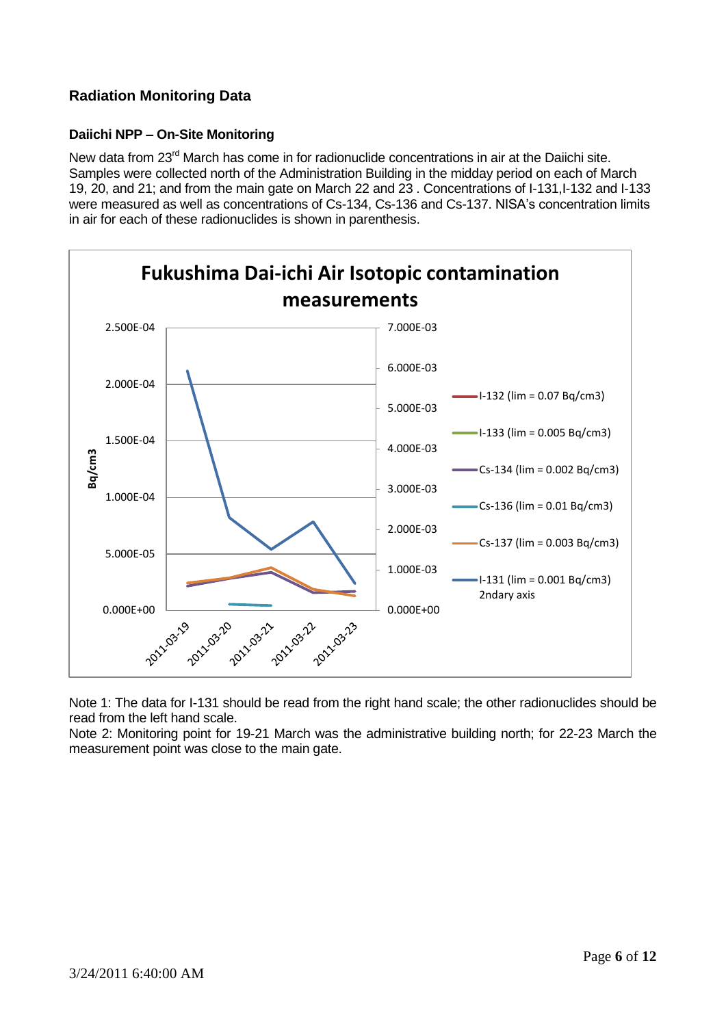## **Radiation Monitoring Data**

## **Daiichi NPP – On-Site Monitoring**

New data from 23<sup>rd</sup> March has come in for radionuclide concentrations in air at the Daiichi site. Samples were collected north of the Administration Building in the midday period on each of March 19, 20, and 21; and from the main gate on March 22 and 23 . Concentrations of I-131,I-132 and I-133 were measured as well as concentrations of Cs-134, Cs-136 and Cs-137. NISA's concentration limits in air for each of these radionuclides is shown in parenthesis.



Note 1: The data for I-131 should be read from the right hand scale; the other radionuclides should be read from the left hand scale.

Note 2: Monitoring point for 19-21 March was the administrative building north; for 22-23 March the measurement point was close to the main gate.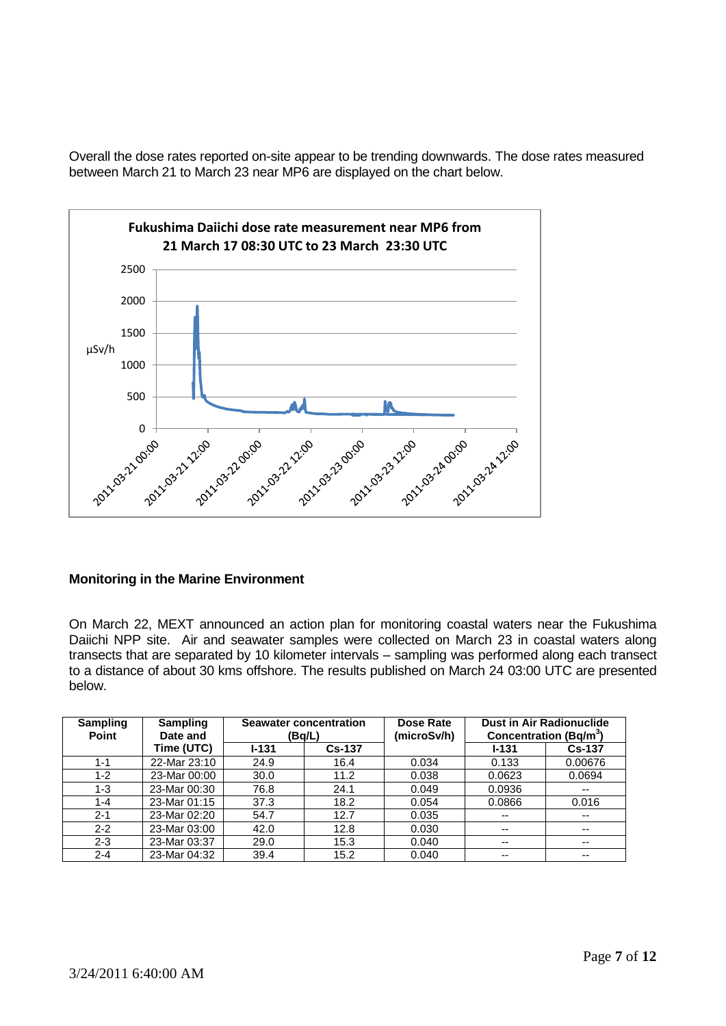Overall the dose rates reported on-site appear to be trending downwards. The dose rates measured between March 21 to March 23 near MP6 are displayed on the chart below.



#### **Monitoring in the Marine Environment**

On March 22, MEXT announced an action plan for monitoring coastal waters near the Fukushima Daiichi NPP site. Air and seawater samples were collected on March 23 in coastal waters along transects that are separated by 10 kilometer intervals – sampling was performed along each transect to a distance of about 30 kms offshore. The results published on March 24 03:00 UTC are presented below.

| <b>Sampling</b><br><b>Point</b> | <b>Sampling</b><br>Date and | <b>Seawater concentration</b><br>(Bq/L) |               | Dose Rate<br>(microSv/h) | Concentration (Bq/m <sup>3</sup> ) | <b>Dust in Air Radionuclide</b> |
|---------------------------------|-----------------------------|-----------------------------------------|---------------|--------------------------|------------------------------------|---------------------------------|
|                                 | Time (UTC)                  | $I - 131$                               | <b>Cs-137</b> |                          | $1 - 131$                          | <b>Cs-137</b>                   |
| $1 - 1$                         | 22-Mar 23:10                | 24.9                                    | 16.4          | 0.034                    | 0.133                              | 0.00676                         |
| $1 - 2$                         | 23-Mar 00:00                | 30.0                                    | 11.2          | 0.038                    | 0.0623                             | 0.0694                          |
| $1 - 3$                         | 23-Mar 00:30                | 76.8                                    | 24.1          | 0.049                    | 0.0936                             | $- -$                           |
| $1 - 4$                         | 23-Mar 01:15                | 37.3                                    | 18.2          | 0.054                    | 0.0866                             | 0.016                           |
| $2 - 1$                         | 23-Mar 02:20                | 54.7                                    | 12.7          | 0.035                    | $\overline{\phantom{a}}$           | $- -$                           |
| $2 - 2$                         | 23-Mar 03:00                | 42.0                                    | 12.8          | 0.030                    | --                                 | --                              |
| $2 - 3$                         | 23-Mar 03:37                | 29.0                                    | 15.3          | 0.040                    | $- -$                              | $- -$                           |
| $2 - 4$                         | 23-Mar 04:32                | 39.4                                    | 15.2          | 0.040                    | $- -$                              | --                              |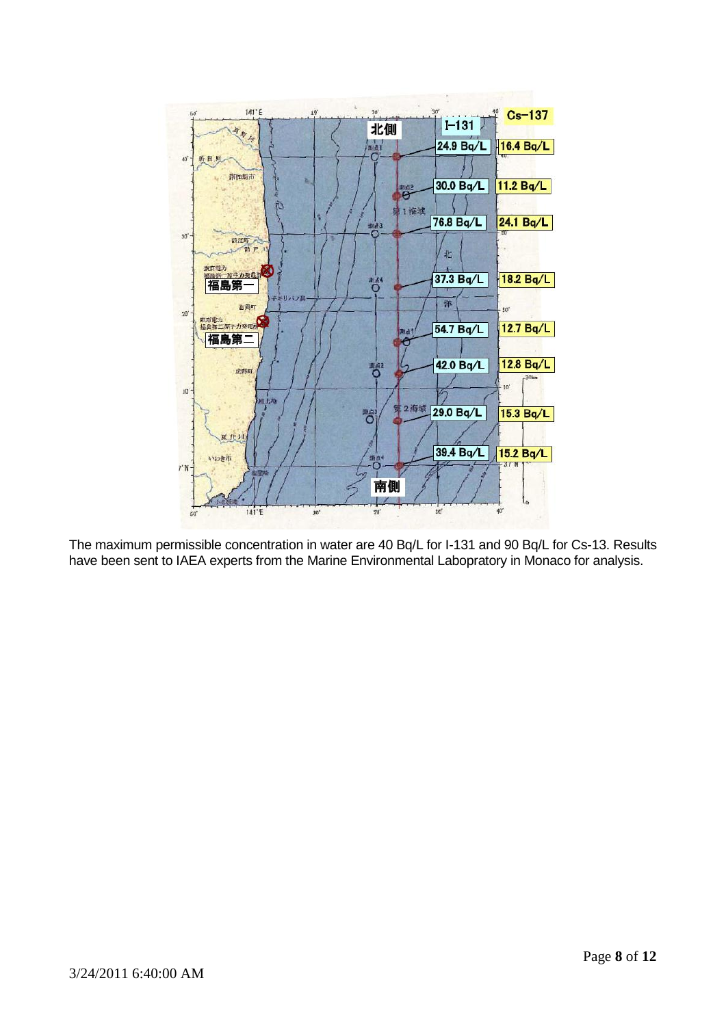

The maximum permissible concentration in water are 40 Bq/L for I-131 and 90 Bq/L for Cs-13. Results have been sent to IAEA experts from the Marine Environmental Labopratory in Monaco for analysis.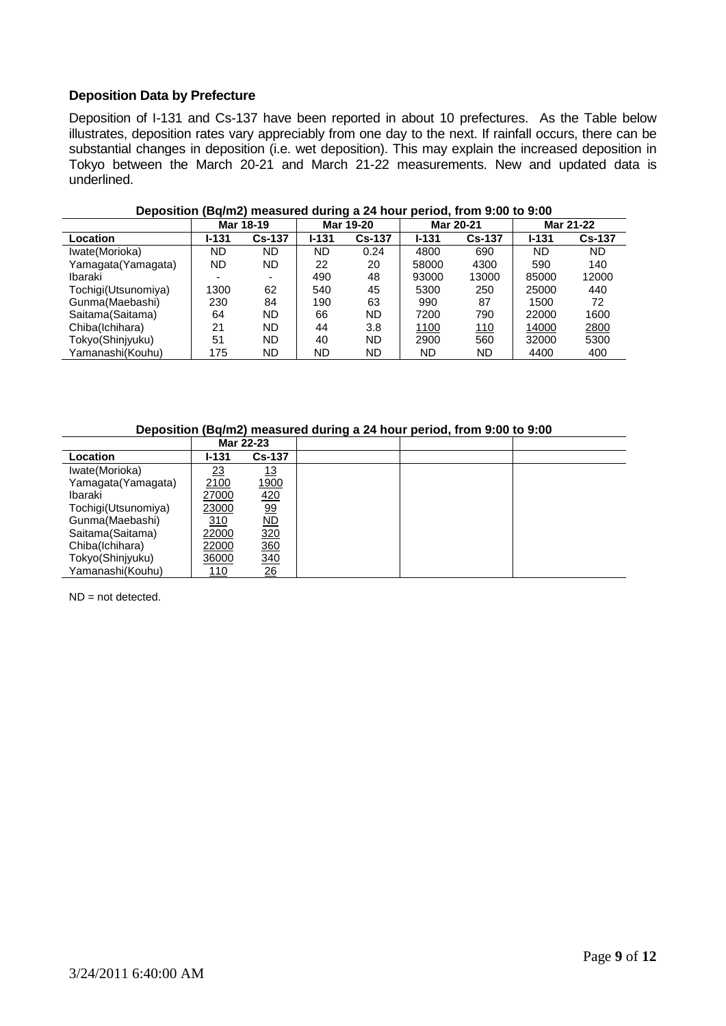## **Deposition Data by Prefecture**

Deposition of I-131 and Cs-137 have been reported in about 10 prefectures. As the Table below illustrates, deposition rates vary appreciably from one day to the next. If rainfall occurs, there can be substantial changes in deposition (i.e. wet deposition). This may explain the increased deposition in Tokyo between the March 20-21 and March 21-22 measurements. New and updated data is underlined.

|                     | Mar 18-19 |               |           | Mar 19-20     | Mar 20-21 |               | Mar 21-22 |               |
|---------------------|-----------|---------------|-----------|---------------|-----------|---------------|-----------|---------------|
| Location            | l-131     | <b>Cs-137</b> | $1 - 131$ | <b>Cs-137</b> | $1 - 131$ | <b>Cs-137</b> | $1 - 131$ | <b>Cs-137</b> |
| Iwate(Morioka)      | ND        | ND            | <b>ND</b> | 0.24          | 4800      | 690           | ND        | <b>ND</b>     |
| Yamagata(Yamagata)  | ND        | ND.           | 22        | 20            | 58000     | 4300          | 590       | 140           |
| Ibaraki             | -         | -             | 490       | 48            | 93000     | 13000         | 85000     | 12000         |
| Tochigi(Utsunomiya) | 1300      | 62            | 540       | 45            | 5300      | 250           | 25000     | 440           |
| Gunma(Maebashi)     | 230       | 84            | 190       | 63            | 990       | 87            | 1500      | 72            |
| Saitama(Saitama)    | 64        | <b>ND</b>     | 66        | ND            | 7200      | 790           | 22000     | 1600          |
| Chiba(Ichihara)     | 21        | ND.           | 44        | 3.8           | 1100      | <u> 110</u>   | 14000     | 2800          |
| Tokyo(Shinjyuku)    | 51        | ND            | 40        | ND            | 2900      | 560           | 32000     | 5300          |
| Yamanashi(Kouhu)    | 175       | ND            | ND        | ND            | ND        | ND            | 4400      | 400           |

#### **Deposition (Bq/m2) measured during a 24 hour period, from 9:00 to 9:00**

**Deposition (Bq/m2) measured during a 24 hour period, from 9:00 to 9:00**

|                     |           | Mar 22-23                |  |  |
|---------------------|-----------|--------------------------|--|--|
| <b>Location</b>     | l-131     | <b>Cs-137</b>            |  |  |
| Iwate(Morioka)      | <u>23</u> | <u> 13</u>               |  |  |
| Yamagata(Yamagata)  | 2100      | <u> 1900</u>             |  |  |
| Ibaraki             | 27000     | 420                      |  |  |
| Tochigi(Utsunomiya) | 23000     | <u>99</u>                |  |  |
| Gunma(Maebashi)     | 310       | $\overline{\mathsf{ND}}$ |  |  |
| Saitama (Saitama)   | 22000     | 320                      |  |  |
| Chiba(Ichihara)     | 22000     | 360                      |  |  |
| Tokyo(Shinjyuku)    | 36000     | 340                      |  |  |
| Yamanashi(Kouhu)    | 110       | <u>26</u>                |  |  |

 $ND = not$  detected.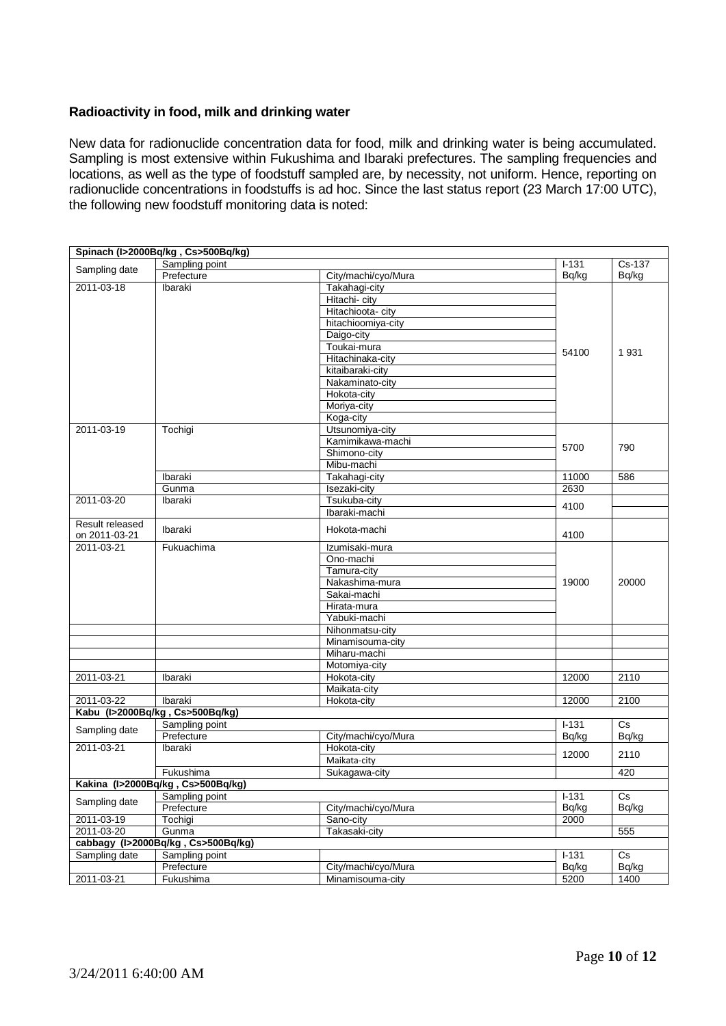#### **Radioactivity in food, milk and drinking water**

New data for radionuclide concentration data for food, milk and drinking water is being accumulated. Sampling is most extensive within Fukushima and Ibaraki prefectures. The sampling frequencies and locations, as well as the type of foodstuff sampled are, by necessity, not uniform. Hence, reporting on radionuclide concentrations in foodstuffs is ad hoc. Since the last status report (23 March 17:00 UTC), the following new foodstuff monitoring data is noted:

|                             | Spinach (I>2000Bq/kg, Cs>500Bq/kg)             |                                  |               |                  |
|-----------------------------|------------------------------------------------|----------------------------------|---------------|------------------|
| Sampling date               | Sampling point                                 |                                  | $I - 131$     | Cs-137           |
|                             | Prefecture                                     | City/machi/cyo/Mura              | Bq/kg         | Bq/kg            |
| 2011-03-18                  | Ibaraki                                        | Takahagi-city                    |               |                  |
|                             |                                                | Hitachi- city                    |               |                  |
|                             |                                                | Hitachioota- city                |               |                  |
|                             |                                                | hitachioomiya-city               |               |                  |
|                             |                                                | Daigo-city                       |               |                  |
|                             |                                                | Toukai-mura                      | 54100         | 1931             |
|                             |                                                | Hitachinaka-city                 |               |                  |
|                             |                                                | kitaibaraki-city                 |               |                  |
|                             |                                                | Nakaminato-city                  |               |                  |
|                             |                                                | Hokota-city                      |               |                  |
|                             |                                                | Moriya-city                      |               |                  |
|                             |                                                | Koga-city                        |               |                  |
| 2011-03-19                  | Tochigi                                        | Utsunomiya-city                  |               |                  |
|                             |                                                | Kamimikawa-machi                 | 5700          | 790              |
|                             |                                                | Shimono-city                     |               |                  |
|                             |                                                | Mibu-machi                       |               |                  |
|                             | Ibaraki                                        | Takahagi-city                    | 11000         | 586              |
|                             | Gunma                                          | Isezaki-city                     | 2630          |                  |
| 2011-03-20                  | Ibaraki                                        | Tsukuba-city                     |               |                  |
|                             |                                                | Ibaraki-machi                    | 4100          |                  |
| Result released             | Ibaraki                                        | Hokota-machi                     | 4100          |                  |
| on 2011-03-21<br>2011-03-21 | Fukuachima                                     | Izumisaki-mura                   |               |                  |
|                             |                                                | Ono-machi                        |               |                  |
|                             |                                                | Tamura-city                      |               |                  |
|                             |                                                | Nakashima-mura                   | 19000         | 20000            |
|                             |                                                | Sakai-machi                      |               |                  |
|                             |                                                | Hirata-mura                      |               |                  |
|                             |                                                | Yabuki-machi                     |               |                  |
|                             |                                                | Nihonmatsu-city                  |               |                  |
|                             |                                                | Minamisouma-city                 |               |                  |
|                             |                                                | Miharu-machi                     |               |                  |
|                             |                                                | Motomiya-city                    |               |                  |
| 2011-03-21                  | <b>Ibaraki</b>                                 | Hokota-city                      | 12000         | 2110             |
|                             |                                                | Maikata-city                     |               |                  |
| 2011-03-22                  | Ibaraki                                        | Hokota-city                      | 12000         | 2100             |
|                             | Kabu (I>2000Bq/kg, Cs>500Bq/kg)                |                                  |               |                  |
|                             | Sampling point                                 |                                  | $I - 131$     | Cs               |
| Sampling date               | Prefecture                                     | City/machi/cyo/Mura              | Bq/kg         | Bq/kg            |
| 2011-03-21                  | Ibaraki                                        | Hokota-city                      |               |                  |
|                             |                                                |                                  | 12000         | 2110             |
|                             |                                                | Maikata-city                     |               | 420              |
|                             | Fukushima<br>Kakina (I>2000Bq/kg, Cs>500Bq/kg) | Sukagawa-city                    |               |                  |
|                             |                                                |                                  | $1 - 131$     | $\overline{C}$ s |
| Sampling date               | Sampling point<br>Prefecture                   |                                  |               |                  |
| 2011-03-19                  | Tochigi                                        | City/machi/cyo/Mura<br>Sano-city | Bq/kg<br>2000 | Bq/kg            |
|                             |                                                |                                  |               |                  |
| 2011-03-20                  | Gunma<br>cabbagy (I>2000Bq/kg, Cs>500Bq/kg)    | Takasaki-city                    |               | 555              |
| Sampling date               | Sampling point                                 |                                  | $1 - 131$     | Cs               |
|                             |                                                |                                  |               | Bq/kg            |
|                             | Prefecture                                     | City/machi/cyo/Mura              | Bq/kg         |                  |
| 2011-03-21                  | Fukushima                                      | Minamisouma-city                 | 5200          | 1400             |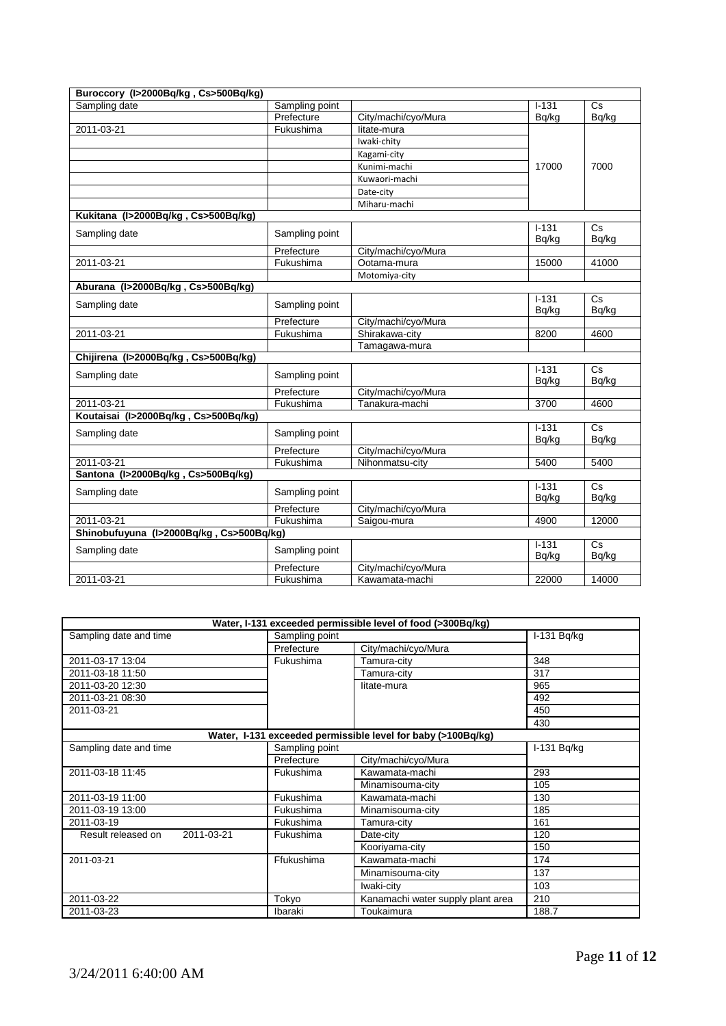| Buroccory (I>2000Bq/kg, Cs>500Bq/kg)     |                |                                       |           |                        |
|------------------------------------------|----------------|---------------------------------------|-----------|------------------------|
| Sampling date                            | Sampling point |                                       | $1 - 131$ | Cs                     |
|                                          | Prefecture     | City/machi/cyo/Mura                   | Bq/kg     | Bq/kg                  |
| 2011-03-21                               | Fukushima      | litate-mura                           |           |                        |
|                                          |                | Iwaki-chity                           |           |                        |
|                                          |                | Kagami-city                           |           |                        |
|                                          |                | Kunimi-machi                          | 17000     | 7000                   |
|                                          |                | Kuwaori-machi                         |           |                        |
|                                          |                | Date-city                             |           |                        |
|                                          |                | Miharu-machi                          |           |                        |
| Kukitana (I>2000Bq/kg, Cs>500Bq/kg)      |                |                                       |           |                        |
| Sampling date                            | Sampling point |                                       | $1 - 131$ | Cs                     |
|                                          |                |                                       | Bg/kg     | Bq/kg                  |
|                                          | Prefecture     | City/machi/cyo/Mura                   |           |                        |
| 2011-03-21                               | Fukushima      | Ootama-mura                           | 15000     | 41000                  |
|                                          |                | Motomiya-city                         |           |                        |
| Aburana (I>2000Bq/kg, Cs>500Bq/kg)       |                |                                       |           |                        |
| Sampling date                            | Sampling point |                                       | $1 - 131$ | Cs                     |
|                                          |                |                                       | Bq/kg     | Bq/kg                  |
|                                          | Prefecture     | City/machi/cyo/Mura                   |           |                        |
| 2011-03-21                               | Fukushima      | Shirakawa-city                        | 8200      | 4600                   |
|                                          |                | Tamagawa-mura                         |           |                        |
| Chijirena (I>2000Bq/kg, Cs>500Bq/kg)     |                |                                       |           |                        |
| Sampling date                            | Sampling point |                                       | $1 - 131$ | <b>Cs</b>              |
|                                          | Prefecture     |                                       | Bq/kg     | Bq/kg                  |
| 2011-03-21                               | Fukushima      | City/machi/cyo/Mura<br>Tanakura-machi | 3700      | 4600                   |
| Koutaisai (I>2000Bq/kg, Cs>500Bq/kg)     |                |                                       |           |                        |
|                                          |                |                                       | $1-131$   | $\overline{\text{Cs}}$ |
| Sampling date                            | Sampling point |                                       | Bq/kg     | Bq/kg                  |
|                                          | Prefecture     | City/machi/cyo/Mura                   |           |                        |
| 2011-03-21                               | Fukushima      | Nihonmatsu-city                       | 5400      | 5400                   |
| Santona (I>2000Bq/kg, Cs>500Bq/kg)       |                |                                       |           |                        |
|                                          |                |                                       | $1 - 131$ | Cs                     |
| Sampling date                            | Sampling point |                                       | Bq/kg     | Bq/kg                  |
|                                          | Prefecture     | City/machi/cyo/Mura                   |           |                        |
| 2011-03-21                               | Fukushima      | Saigou-mura                           | 4900      | 12000                  |
| Shinobufuyuna (I>2000Bq/kg, Cs>500Bq/kg) |                |                                       |           |                        |
| Sampling date                            | Sampling point |                                       | $1-131$   | $\overline{\text{Cs}}$ |
|                                          |                |                                       | Bq/kg     | Bq/kg                  |
|                                          | Prefecture     | City/machi/cyo/Mura                   |           |                        |
| 2011-03-21                               | Fukushima      | Kawamata-machi                        | 22000     | 14000                  |

|                                  |                | Water, I-131 exceeded permissible level of food (>300Bq/kg)  |             |  |
|----------------------------------|----------------|--------------------------------------------------------------|-------------|--|
| Sampling date and time           |                | Sampling point                                               |             |  |
|                                  | Prefecture     | City/machi/cyo/Mura                                          |             |  |
| 2011-03-17 13:04                 | Fukushima      | Tamura-city                                                  | 348         |  |
| 2011-03-18 11:50                 |                | Tamura-city                                                  | 317         |  |
| 2011-03-20 12:30                 |                | litate-mura                                                  | 965         |  |
| 2011-03-21 08:30                 |                |                                                              | 492         |  |
| 2011-03-21                       |                |                                                              | 450         |  |
|                                  |                |                                                              | 430         |  |
|                                  |                | Water, I-131 exceeded permissible level for baby (>100Bq/kg) |             |  |
| Sampling date and time           | Sampling point |                                                              | I-131 Bq/kg |  |
|                                  | Prefecture     | City/machi/cyo/Mura                                          |             |  |
| 2011-03-18 11:45                 | Fukushima      | Kawamata-machi                                               | 293         |  |
|                                  |                | Minamisouma-city                                             | 105         |  |
| 2011-03-19 11:00                 | Fukushima      | Kawamata-machi                                               | 130         |  |
| 2011-03-19 13:00                 | Fukushima      | Minamisouma-city                                             | 185         |  |
| 2011-03-19                       | Fukushima      | Tamura-city                                                  | 161         |  |
| 2011-03-21<br>Result released on | Fukushima      | Date-city                                                    | 120         |  |
|                                  |                | Kooriyama-city                                               | 150         |  |
| 2011-03-21                       | Ffukushima     | Kawamata-machi                                               | 174         |  |
|                                  |                | Minamisouma-city                                             | 137         |  |
|                                  |                | Iwaki-city                                                   | 103         |  |
| 2011-03-22                       | Tokyo          | Kanamachi water supply plant area                            | 210         |  |
| 2011-03-23                       | Ibaraki        | Toukaimura                                                   | 188.7       |  |